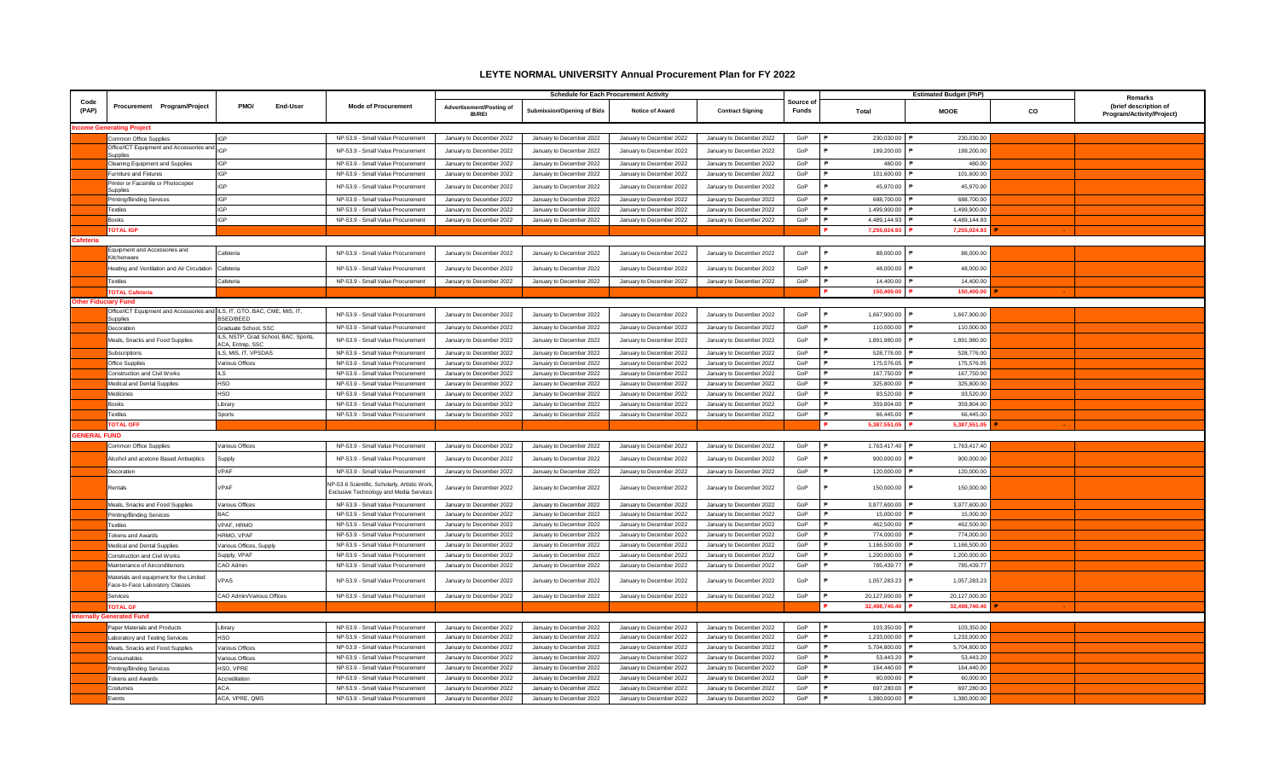## **LEYTE NORMAL UNIVERSITY Annual Procurement Plan for FY 2022**

|                      |                                                                                              |                                                                |                                                                                                | <b>Schedule for Each Procurement Activity</b>        |                            |                          |                                                      |                          | <b>Estimated Budget (PhP)</b> |               |     |                                                               |
|----------------------|----------------------------------------------------------------------------------------------|----------------------------------------------------------------|------------------------------------------------------------------------------------------------|------------------------------------------------------|----------------------------|--------------------------|------------------------------------------------------|--------------------------|-------------------------------|---------------|-----|---------------------------------------------------------------|
| Code<br>(PAP)        | Procurement Program/Project                                                                  | PMO/<br>End-User                                               | <b>Mode of Procurement</b>                                                                     | Advertisement/Posting of<br><b>IB/REI</b>            | Submission/Opening of Bids | <b>Notice of Award</b>   | <b>Contract Signing</b>                              | Source o<br><b>Funds</b> | Total                         | <b>MOOE</b>   | CO. | Remarks<br>(brief description of<br>Program/Activity/Project) |
|                      | come Generating Project                                                                      |                                                                |                                                                                                |                                                      |                            |                          |                                                      |                          |                               |               |     |                                                               |
|                      | Common Office Supplies                                                                       | IGP                                                            | NP-53.9 - Small Value Procurement                                                              | January to December 2022                             | January to December 2022   | January to December 2022 | January to December 2022                             | GoP                      | 230.030.00                    | 230,030.00    |     |                                                               |
|                      | Office/ICT Equipment and Accessories and IGP                                                 |                                                                | NP-53.9 - Small Value Procurement                                                              | January to December 2022                             | January to December 2022   | January to December 2022 | January to December 2022                             | GoP                      | 199,200.00                    | 199,200.00    |     |                                                               |
|                      | <b>Supplies</b>                                                                              |                                                                |                                                                                                |                                                      |                            |                          |                                                      |                          |                               |               |     |                                                               |
|                      | Cleaning Equipment and Supplies                                                              | IGP                                                            | NP-53.9 - Small Value Procurement                                                              | January to December 2022                             | January to December 2022   | January to December 2022 | January to December 2022                             | GoP                      | 480.00                        | 480.00        |     |                                                               |
|                      | umiture and Fixtures                                                                         | <b>IGP</b>                                                     | NP-53.9 - Small Value Procurement                                                              | January to December 2022                             | January to December 2022   | January to December 2022 | January to December 2022                             | GoP                      | 101,600.00                    | 101,600.00    |     |                                                               |
|                      | Printer or Facsimile or Photocopie<br><b>Supplies</b>                                        | <b>IGP</b>                                                     | NP-53.9 - Small Value Procurement                                                              | January to December 2022                             | January to December 2022   | January to December 2022 | January to December 2022                             | GoP                      | 45,970.00                     | 45,970.00     |     |                                                               |
|                      | Printing/Binding Services                                                                    | <b>IGP</b>                                                     | NP-53.9 - Small Value Procurement                                                              | January to December 2022                             | January to December 2022   | January to December 2022 | January to December 2022                             | GoP                      | 688,700.00                    | 688,700.00    |     |                                                               |
|                      | <b>Fextiles</b>                                                                              | <b>IGP</b>                                                     | NP-53.9 - Small Value Procurement                                                              | January to December 2022                             | January to December 2022   | January to December 2022 | January to December 2022                             | GoP                      | 1,499,900.00                  | 1,499,900.00  |     |                                                               |
|                      | <b>Books</b>                                                                                 | <b>IGP</b>                                                     | NP-53.9 - Small Value Procurement                                                              | January to December 2022                             | January to December 2022   | January to December 2022 | January to December 2022                             | GoP                      | 4,489,144.93                  | 4,489,144.93  |     |                                                               |
|                      | <b>FOTAL IGP</b>                                                                             |                                                                |                                                                                                |                                                      |                            |                          |                                                      |                          | 7.255.024.                    | 7,255,024.93  |     |                                                               |
| eteria               |                                                                                              |                                                                |                                                                                                |                                                      |                            |                          |                                                      |                          |                               |               |     |                                                               |
|                      | Equipment and Accessories and<br>Kitchenware                                                 | Cafeteria                                                      | NP-53.9 - Small Value Procurement                                                              | January to December 2022                             | January to December 2022   | January to December 2022 | January to December 2022                             | GoP                      | 88,000.00                     | 88,000.00     |     |                                                               |
|                      | leating and Ventilation and Air Circulatio                                                   | Cafeteria                                                      | NP-53.9 - Small Value Procurement                                                              | January to December 2022                             | January to December 2022   | January to December 2022 | January to December 2022                             | GoP                      | 48,000.00                     | 48,000.00     |     |                                                               |
|                      | Textiles                                                                                     | Cafeteria                                                      | NP-53.9 - Small Value Procurement                                                              | January to December 2022                             | January to December 2022   | January to December 2022 | January to December 2022                             | GoP                      | 14,400.00                     | 14,400.00     |     |                                                               |
|                      | <b>FOTAL Cafeteri</b>                                                                        |                                                                |                                                                                                |                                                      |                            |                          |                                                      |                          | 150,400.0                     | 150,400.0     |     |                                                               |
| Other Fiduciary Fund |                                                                                              |                                                                |                                                                                                |                                                      |                            |                          |                                                      |                          |                               |               |     |                                                               |
|                      | Office/ICT Equipment and Accessories and ILS, IT, GTO, BAC, CME, MIS, IT,<br><b>Supplies</b> | <b>SSED/BEED</b>                                               | NP-53.9 - Small Value Procurement                                                              | January to December 2022                             | January to December 2022   | January to December 2022 | January to December 2022                             | GoP                      | 1,667,900.00                  | 1,667,900.00  |     |                                                               |
|                      | Decoration                                                                                   | Graduate School, SSC                                           | NP-53.9 - Small Value Procurement                                                              | January to December 2022                             | January to December 2022   | January to December 2022 | January to December 2022                             | GoP                      | 110,000,00                    | 110.000.00    |     |                                                               |
|                      | Meals, Snacks and Food Supplies                                                              | ILS, NSTP, Grad School, BAC, Sports,<br><b>CA. Fntren, SSC</b> | NP-53.9 - Small Value Procurement                                                              | January to December 2022                             | January to December 2022   | January to December 2022 | January to December 2022                             | GoP                      | 1,891,980.00                  | 1,891,980.00  |     |                                                               |
|                      | Subscriptions                                                                                | ILS, MIS, IT, VPSDAS                                           | NP-53.9 - Small Value Procurement                                                              | January to December 2022                             | January to December 2022   | January to December 2022 | January to December 2022                             | GoP                      | 528,776.00                    | 528,776.00    |     |                                                               |
|                      | Office Supplies                                                                              | <b>Various Offices</b>                                         | NP-53.9 - Small Value Procurement                                                              | January to December 2022                             | January to December 2022   | January to December 2022 | January to December 2022                             | GoP                      | 175,576.05                    | 175,576.05    |     |                                                               |
|                      | Construction and Civil Works                                                                 | ILS                                                            | NP-53.9 - Small Value Procurement                                                              | January to December 2022                             | January to December 2022   | January to December 2022 | January to December 2022                             | GoP                      | 167,750.00                    | 167,750.00    |     |                                                               |
|                      | Medical and Dental Supplies                                                                  | <b>HSO</b>                                                     | NP-53.9 - Small Value Procurement                                                              | January to December 2022                             | January to December 2022   | January to December 2022 | January to December 2022                             | GoP                      | 325,800.00                    | 325,800.00    |     |                                                               |
|                      | Medicines                                                                                    | HSO                                                            | NP-53.9 - Small Value Procurement                                                              | January to December 2022                             | January to December 2022   | January to December 2022 | January to December 2022                             | GoP                      | 93.520.00                     | 93.520.00     |     |                                                               |
|                      | <b>Books</b>                                                                                 | Library                                                        | NP-53.9 - Small Value Procurement                                                              | January to December 2022                             | January to December 2022   | January to December 2022 | January to December 2022                             | GoP                      | 359,804.00                    | 359,804.00    |     |                                                               |
|                      | <b>Fextiles</b>                                                                              | Sports                                                         | NP-53.9 - Small Value Procurement                                                              | January to December 2022                             | January to December 2022   | January to December 2022 | January to December 2022                             | GoP                      | 66,445.00                     | 66,445.00     |     |                                                               |
|                      | <b>FOTAL OFF</b>                                                                             |                                                                |                                                                                                |                                                      |                            |                          |                                                      |                          | 5.387.551.0                   | 5.387.551.05  |     |                                                               |
|                      | <b>GENERAL FUND</b>                                                                          |                                                                |                                                                                                |                                                      |                            |                          |                                                      |                          |                               |               |     |                                                               |
|                      | Common Office Supplies                                                                       | <b>Various Offices</b>                                         | NP-53.9 - Small Value Procurement                                                              | January to December 2022                             | January to December 2022   | January to December 2022 | January to December 2022                             | GoP                      | 1,763,417.40                  | 1,763,417.40  |     |                                                               |
|                      | <b>Ncohol and acetone Based Antiseptics</b>                                                  | Supply                                                         | NP-53.9 - Small Value Procurement                                                              | January to December 2022                             | January to December 2022   | January to December 2022 | January to December 2022                             | GoP                      | 900,000.00                    | 900,000.00    |     |                                                               |
|                      | Decoration                                                                                   | VPAF                                                           | NP-53.9 - Small Value Procurement                                                              | January to December 2022                             | January to December 2022   | January to December 2022 | January to December 2022                             | GoP                      | 120,000.00                    | 120,000.00    |     |                                                               |
|                      | Rentals                                                                                      | <b>/PAF</b>                                                    | VP-53.6 Scientific, Scholarly, Artistic Work<br><b>Exclusive Technology and Media Services</b> | January to December 2022                             | January to December 2022   | January to December 2022 | January to December 2022                             | GoP                      | 150,000.00                    | 150,000.00    |     |                                                               |
|                      | Meals, Snacks and Food Supplies                                                              | Various Offices                                                | NP-53.9 - Small Value Procurement                                                              | January to December 2022                             | January to December 2022   | January to December 2022 | January to December 2022                             | GoP                      | 3,977,600.00                  | 3,977,600.00  |     |                                                               |
|                      | Printing/Binding Services                                                                    | BAC                                                            | NP-53.9 - Small Value Procurement                                                              | January to December 2022                             | January to December 2022   | January to December 2022 | January to December 2022                             | GoP                      | 15,000.00                     | 15,000.00     |     |                                                               |
|                      | extiles                                                                                      | /PAF, HRMO                                                     | NP-53.9 - Small Value Procurement                                                              | January to December 2022                             | January to December 2022   | January to December 2022 | January to December 2022                             | GoP                      | 462,500.00                    | 462,500.00    |     |                                                               |
|                      | <b>Tokens and Awards</b>                                                                     | HRMO, VPAF                                                     | NP-53.9 - Small Value Procurement                                                              | January to December 2022                             | January to December 2022   | January to December 2022 | January to December 2022                             | GoP                      | 774,000.00                    | 774,000.00    |     |                                                               |
|                      | Medical and Dental Supplies                                                                  | arious Offices, Supply                                         | NP-53.9 - Small Value Procurement                                                              | January to December 2022                             | January to December 2022   | January to December 2022 | January to December 2022                             | GoP                      | 1,166,500.00                  | 1,166,500.00  |     |                                                               |
|                      | Construction and Civil Works                                                                 | Supply, VPAF                                                   | NP-53.9 - Small Value Procurement                                                              | January to December 2022                             | January to December 2022   | January to December 2022 | January to December 2022                             | GoP                      | 1.200.000.00                  | 1,200,000.00  |     |                                                               |
|                      | Maintenance of Airconditioners                                                               | CAO Admin                                                      | NP-53.9 - Small Value Procurement                                                              |                                                      | January to December 2022   | January to December 2022 |                                                      | GoP                      | 785,439.7                     | 785,439.77    |     |                                                               |
|                      | Materials and equipment for the Limited                                                      | /PAS                                                           | NP-53.9 - Small Value Procurement                                                              | January to December 2022<br>January to December 2022 | January to December 2022   | January to December 2022 | January to December 2022<br>January to December 2022 | GoP                      | 1,057,283.23                  | 1,057,283.23  |     |                                                               |
|                      | Face-to-Face Laboratory Classes                                                              |                                                                |                                                                                                |                                                      |                            |                          |                                                      |                          |                               |               |     |                                                               |
|                      | Services                                                                                     | CAO Admin/Various Offices                                      | NP-53.9 - Small Value Procurement                                                              | January to December 2022                             | January to December 2022   | January to December 2022 | January to December 2022                             | GoP                      | 20,127,000.00                 | 20,127,000.00 |     |                                                               |
|                      | <b>COTAL GE</b>                                                                              |                                                                |                                                                                                |                                                      |                            |                          |                                                      |                          | 32.498.740.4                  | 32.498.740.40 |     |                                                               |
|                      | ernally Generated Fund                                                                       |                                                                |                                                                                                |                                                      |                            |                          |                                                      |                          |                               |               |     |                                                               |
|                      | Paper Materials and Products                                                                 | Library                                                        | NP-53.9 - Small Value Procurement                                                              | January to December 2022                             | January to December 2022   | January to December 2022 | January to December 2022                             | GoP                      | 103,350.00                    | 103,350.00    |     |                                                               |
|                      | Laboratory and Testing Services                                                              | <b>HSO</b>                                                     | NP-53.9 - Small Value Procurement                                                              | January to December 2022                             | January to December 2022   | January to December 2022 | January to December 2022                             | GoP                      | 1.233.000.00                  | 1.233.000.00  |     |                                                               |
|                      | Meals, Snacks and Food Supplies                                                              | Various Offices                                                | NP-53.9 - Small Value Procurement                                                              | January to December 2022                             | January to December 2022   | January to December 2022 | January to December 2022                             | GoP                      | 5,704,800.00                  | 5,704,800.00  |     |                                                               |
|                      | Consumables                                                                                  | <b>Various Offices</b>                                         | NP-53.9 - Small Value Procurement                                                              | January to December 2022                             | January to December 2022   | January to December 2022 | January to December 2022                             | GoP                      | 53,443.20                     | 53,443.20     |     |                                                               |
|                      | Printing/Binding Services                                                                    | HSO, VPRE                                                      | NP-53.9 - Small Value Procurement                                                              | January to December 2022                             | January to December 2022   | January to December 2022 | January to December 2022                             | GoP                      | 164,440.00                    | 164,440.00    |     |                                                               |
|                      | <b>Tokens and Awards</b>                                                                     | Accreditation                                                  | NP-53.9 - Small Value Procurement                                                              | January to December 2022                             | January to December 2022   | January to December 2022 | January to December 2022                             | GoP                      | 60,000.00                     | 60,000.00     |     |                                                               |
|                      | Costumes                                                                                     | <b>ACA</b>                                                     | NP-53.9 - Small Value Procurement                                                              | January to December 2022                             | January to December 2022   | January to December 2022 | January to December 2022                             | GoP                      | 697,280.00                    | 697,280.00    |     |                                                               |
|                      | Events                                                                                       | ACA, VPRE, QMS                                                 | NP-53.9 - Small Value Procurement                                                              | January to December 2022                             | January to December 2022   | January to December 2022 | January to December 2022                             | GoP                      | 1,380,000.00                  | 1,380,000.00  |     |                                                               |